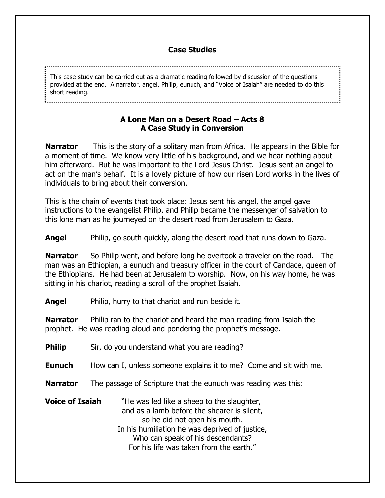## **Case Studies**

This case study can be carried out as a dramatic reading followed by discussion of the questions provided at the end. A narrator, angel, Philip, eunuch, and "Voice of Isaiah" are needed to do this short reading.

## **A Lone Man on a Desert Road – Acts 8 A Case Study in Conversion**

**Narrator** This is the story of a solitary man from Africa. He appears in the Bible for a moment of time. We know very little of his background, and we hear nothing about him afterward. But he was important to the Lord Jesus Christ. Jesus sent an angel to act on the man's behalf. It is a lovely picture of how our risen Lord works in the lives of individuals to bring about their conversion.

This is the chain of events that took place: Jesus sent his angel, the angel gave instructions to the evangelist Philip, and Philip became the messenger of salvation to this lone man as he journeyed on the desert road from Jerusalem to Gaza.

**Angel** Philip, go south quickly, along the desert road that runs down to Gaza.

**Narrator** So Philip went, and before long he overtook a traveler on the road. The man was an Ethiopian, a eunuch and treasury officer in the court of Candace, queen of the Ethiopians. He had been at Jerusalem to worship. Now, on his way home, he was sitting in his chariot, reading a scroll of the prophet Isaiah.

**Angel** Philip, hurry to that chariot and run beside it.

**Narrator** Philip ran to the chariot and heard the man reading from Isaiah the prophet. He was reading aloud and pondering the prophet's message.

| <b>Philip</b>          | Sir, do you understand what you are reading?                                                                                                                                                                                                                 |
|------------------------|--------------------------------------------------------------------------------------------------------------------------------------------------------------------------------------------------------------------------------------------------------------|
| <b>Eunuch</b>          | How can I, unless someone explains it to me? Come and sit with me.                                                                                                                                                                                           |
| <b>Narrator</b>        | The passage of Scripture that the eunuch was reading was this:                                                                                                                                                                                               |
| <b>Voice of Isaiah</b> | "He was led like a sheep to the slaughter,<br>and as a lamb before the shearer is silent,<br>so he did not open his mouth.<br>In his humiliation he was deprived of justice,<br>Who can speak of his descendants?<br>For his life was taken from the earth." |